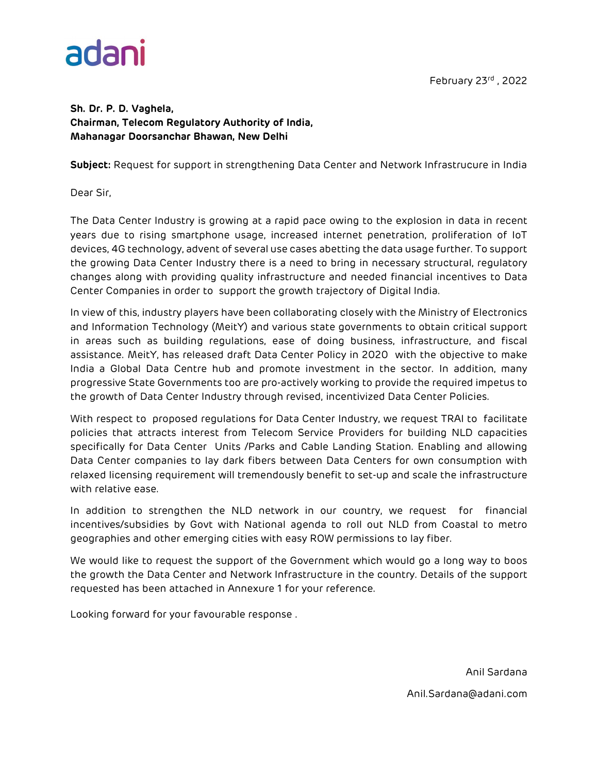

#### **Sh. [Dr. P. D. Vaghela,](https://www.trai.gov.in/dr-p-d-vaghela) Chairman, Telecom Regulatory Authority of India, Mahanagar Doorsanchar Bhawan, New Delhi**

**Subject:** Request for support in strengthening Data Center and Network Infrastrucure in India

Dear Sir,

The Data Center Industry is growing at a rapid pace owing to the explosion in data in recent years due to rising smartphone usage, increased internet penetration, proliferation of IoT devices, 4G technology, advent of several use cases abetting the data usage further. To support the growing Data Center Industry there is a need to bring in necessary structural, regulatory changes along with providing quality infrastructure and needed financial incentives to Data Center Companies in order to support the growth trajectory of Digital India.

In view of this, industry players have been collaborating closely with the Ministry of Electronics and Information Technology (MeitY) and various state governments to obtain critical support in areas such as building regulations, ease of doing business, infrastructure, and fiscal assistance. MeitY, has released draft Data Center Policy in 2020 with the objective to make India a Global Data Centre hub and promote investment in the sector. In addition, many progressive State Governments too are pro-actively working to provide the required impetus to the growth of Data Center Industry through revised, incentivized Data Center Policies.

With respect to proposed regulations for Data Center Industry, we request TRAI to facilitate policies that attracts interest from Telecom Service Providers for building NLD capacities specifically for Data Center Units /Parks and Cable Landing Station. Enabling and allowing Data Center companies to lay dark fibers between Data Centers for own consumption with relaxed licensing requirement will tremendously benefit to set-up and scale the infrastructure with relative ease.

In addition to strengthen the NLD network in our country, we request for financial incentives/subsidies by Govt with National agenda to roll out NLD from Coastal to metro geographies and other emerging cities with easy ROW permissions to lay fiber.

We would like to request the support of the Government which would go a long way to boos the growth the Data Center and Network Infrastructure in the country. Details of the support requested has been attached in Annexure 1 for your reference.

Looking forward for your favourable response .

Anil Sardana Anil.Sardana@adani.com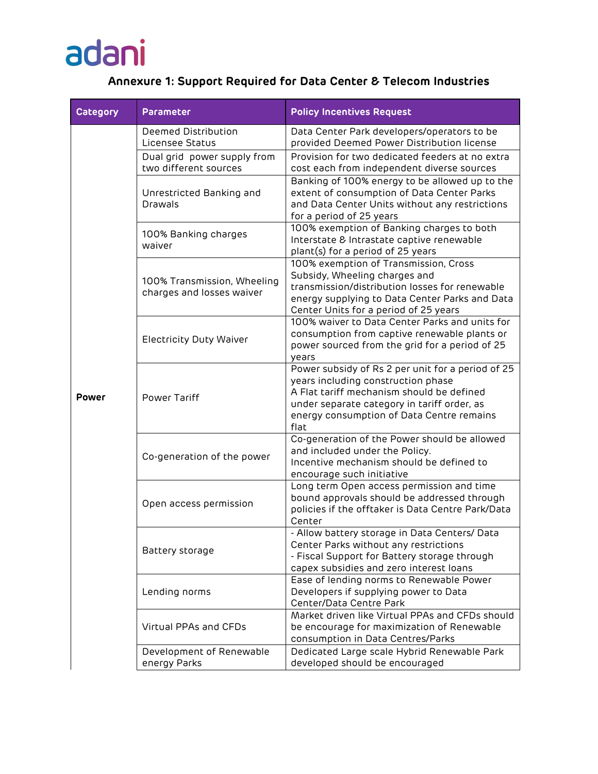### adani

### **Annexure 1: Support Required for Data Center & Telecom Industries**

| <b>Category</b> | Parameter                                                | <b>Policy Incentives Request</b>                                                                                                                                                                                                         |
|-----------------|----------------------------------------------------------|------------------------------------------------------------------------------------------------------------------------------------------------------------------------------------------------------------------------------------------|
| <b>Power</b>    | Deemed Distribution<br>Licensee Status                   | Data Center Park developers/operators to be<br>provided Deemed Power Distribution license                                                                                                                                                |
|                 | Dual grid power supply from<br>two different sources     | Provision for two dedicated feeders at no extra<br>cost each from independent diverse sources                                                                                                                                            |
|                 | Unrestricted Banking and<br>Drawals                      | Banking of 100% energy to be allowed up to the<br>extent of consumption of Data Center Parks<br>and Data Center Units without any restrictions<br>for a period of 25 years                                                               |
|                 | 100% Banking charges<br>waiver                           | 100% exemption of Banking charges to both<br>Interstate & Intrastate captive renewable<br>plant(s) for a period of 25 years                                                                                                              |
|                 | 100% Transmission, Wheeling<br>charges and losses waiver | 100% exemption of Transmission, Cross<br>Subsidy, Wheeling charges and<br>transmission/distribution losses for renewable<br>energy supplying to Data Center Parks and Data<br>Center Units for a period of 25 years                      |
|                 | <b>Electricity Duty Waiver</b>                           | 100% waiver to Data Center Parks and units for<br>consumption from captive renewable plants or<br>power sourced from the grid for a period of 25<br>years                                                                                |
|                 | Power Tariff                                             | Power subsidy of Rs 2 per unit for a period of 25<br>years including construction phase<br>A Flat tariff mechanism should be defined<br>under separate category in tariff order, as<br>energy consumption of Data Centre remains<br>flat |
|                 | Co-generation of the power                               | Co-generation of the Power should be allowed<br>and included under the Policy.<br>Incentive mechanism should be defined to<br>encourage such initiative                                                                                  |
|                 | Open access permission                                   | Long term Open access permission and time<br>bound approvals should be addressed through<br>policies if the offtaker is Data Centre Park/Data<br>Center                                                                                  |
|                 | Battery storage                                          | - Allow battery storage in Data Centers/ Data<br>Center Parks without any restrictions<br>- Fiscal Support for Battery storage through<br>capex subsidies and zero interest loans                                                        |
|                 | Lending norms                                            | Ease of lending norms to Renewable Power<br>Developers if supplying power to Data<br>Center/Data Centre Park                                                                                                                             |
|                 | Virtual PPAs and CFDs                                    | Market driven like Virtual PPAs and CFDs should<br>be encourage for maximization of Renewable<br>consumption in Data Centres/Parks                                                                                                       |
|                 | Development of Renewable<br>energy Parks                 | Dedicated Large scale Hybrid Renewable Park<br>developed should be encouraged                                                                                                                                                            |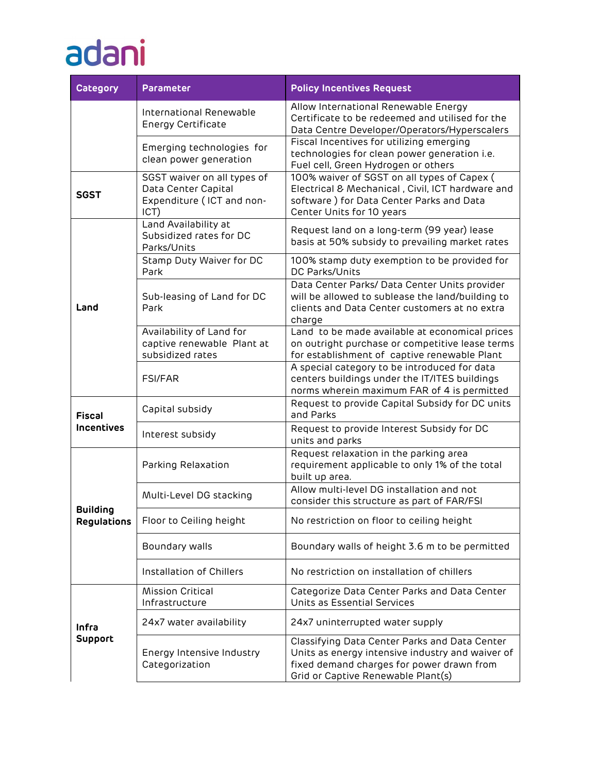# adani

| <b>Category</b>                       | <b>Parameter</b>                                                                        | <b>Policy Incentives Request</b>                                                                                                                                                     |
|---------------------------------------|-----------------------------------------------------------------------------------------|--------------------------------------------------------------------------------------------------------------------------------------------------------------------------------------|
|                                       | International Renewable<br><b>Energy Certificate</b>                                    | Allow International Renewable Energy<br>Certificate to be redeemed and utilised for the<br>Data Centre Developer/Operators/Hyperscalers                                              |
|                                       | Emerging technologies for<br>clean power generation                                     | Fiscal Incentives for utilizing emerging<br>technologies for clean power generation i.e.<br>Fuel cell, Green Hydrogen or others                                                      |
| <b>SGST</b>                           | SGST waiver on all types of<br>Data Center Capital<br>Expenditure (ICT and non-<br>ICT) | 100% waiver of SGST on all types of Capex (<br>Electrical & Mechanical, Civil, ICT hardware and<br>software) for Data Center Parks and Data<br>Center Units for 10 years             |
| Land                                  | Land Availability at<br>Subsidized rates for DC<br>Parks/Units                          | Request land on a long-term (99 year) lease<br>basis at 50% subsidy to prevailing market rates                                                                                       |
|                                       | Stamp Duty Waiver for DC<br>Park                                                        | 100% stamp duty exemption to be provided for<br>DC Parks/Units                                                                                                                       |
|                                       | Sub-leasing of Land for DC<br>Park                                                      | Data Center Parks/ Data Center Units provider<br>will be allowed to sublease the land/building to<br>clients and Data Center customers at no extra<br>charge                         |
|                                       | Availability of Land for<br>captive renewable Plant at<br>subsidized rates              | Land to be made available at economical prices<br>on outright purchase or competitive lease terms<br>for establishment of captive renewable Plant                                    |
|                                       | <b>FSI/FAR</b>                                                                          | A special category to be introduced for data<br>centers buildings under the IT/ITES buildings<br>norms wherein maximum FAR of 4 is permitted                                         |
| <b>Fiscal</b><br><b>Incentives</b>    | Capital subsidy                                                                         | Request to provide Capital Subsidy for DC units<br>and Parks                                                                                                                         |
|                                       | Interest subsidy                                                                        | Request to provide Interest Subsidy for DC<br>units and parks                                                                                                                        |
| <b>Building</b><br><b>Regulations</b> | Parking Relaxation                                                                      | Request relaxation in the parking area<br>requirement applicable to only 1% of the total<br>built up area.                                                                           |
|                                       | Multi-Level DG stacking                                                                 | Allow multi-level DG installation and not<br>consider this structure as part of FAR/FSI                                                                                              |
|                                       | Floor to Ceiling height                                                                 | No restriction on floor to ceiling height                                                                                                                                            |
|                                       | Boundary walls                                                                          | Boundary walls of height 3.6 m to be permitted                                                                                                                                       |
|                                       | Installation of Chillers                                                                | No restriction on installation of chillers                                                                                                                                           |
| Infra<br><b>Support</b>               | <b>Mission Critical</b><br>Infrastructure                                               | Categorize Data Center Parks and Data Center<br>Units as Essential Services                                                                                                          |
|                                       | 24x7 water availability                                                                 | 24x7 uninterrupted water supply                                                                                                                                                      |
|                                       | Energy Intensive Industry<br>Categorization                                             | Classifying Data Center Parks and Data Center<br>Units as energy intensive industry and waiver of<br>fixed demand charges for power drawn from<br>Grid or Captive Renewable Plant(s) |